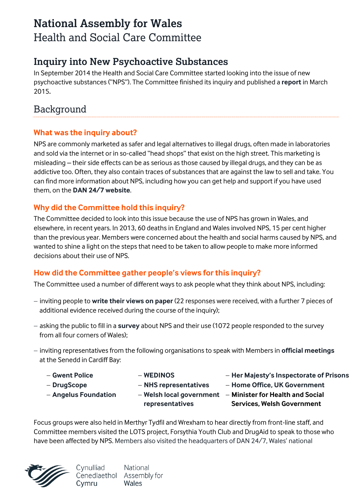# **National Assembly for Wales** Health and Social Care Committee

### **Inquiry into New Psychoactive Substances**

In September 2014 the Health and Social Care Committee started looking into the issue of new psychoactive substances ("NPS"). The Committee finished its inquiry and published a **[report](http://www.assembly.wales/laid%20documents/cr-ld10147%20-%20report%20by%20the%20health%20and%20social%20care%20committee%20on%20the%20inquiry%20into%20new%20psychoactive%20substances/cr-ld10147-e.pdf)** in March 2015**.** 

## Background

#### **What was the inquiry about?**

NPS are commonly marketed as safer and legal alternatives to illegal drugs, often made in laboratories and sold via the internet or in so-called "head shops" that exist on the high street. This marketing is misleading – their side effects can be as serious as those caused by illegal drugs, and they can be as addictive too. Often, they also contain traces of substances that are against the law to sell and take. You can find more information about NPS, including how you can get help and support if you have used them, on the **[DAN 24/7 website](http://dan247.org.uk/Drug_NewPsychoactiveSubstances.asp#sthash.MzSQytA3.dpuf)**.

### **Why did the Committee hold this inquiry?**

The Committee decided to look into this issue because the use of NPS has grown in Wales, and elsewhere, in recent years. In 2013, 60 deaths in England and Wales involved NPS, 15 per cent higher than the previous year. Members were concerned about the health and social harms caused by NPS, and wanted to shine a light on the steps that need to be taken to allow people to make more informed decisions about their use of NPS.

### **How did the Committee gather people's views for this inquiry?**

The Committee used a number of different ways to ask people what they think about NPS, including:

- inviting people to **[write their views](http://senedd.assembly.wales/mgConsultationDisplay.aspx?ID=135) on paper** (22 responses were received, with a further 7 pieces of additional evidence received during the course of the inquiry):
- asking the public to fill in a **[survey](https://www.youtube.com/watch?v=r_6Wo0CTwmE&list=UUfFbE37IX0a-XAKE9yw-CPQ)** about NPS and their use (1072 people responded to the survey from all four corners of Wales);
- $-$  inviting representatives from the following organisations to speak with Members in **[official meetings](http://senedd.assembly.wales/ieIssueDetails.aspx?IId=10562&Opt=3)** at the Senedd in Cardiff Bay:
	- **[Gwent Police](https://www.gwent.police.uk/)**
	- **[DrugScope](http://www.drugscope.org.uk/)**
- **[WEDINOS](http://www.wedinos.org/) [NHS representatives](http://www.wales.nhs.uk/)**
- **[Angelus Foundation](http://www.angelusfoundation.com/)**
- **[representatives](http://www.wlga.gov.uk/)**
- **[Her Majesty's Inspectorate of Prisons](https://www.justiceinspectorates.gov.uk/hmiprisons/#.VOY4TVsjglI)**
- **[Home Office,](https://www.gov.uk/government/organisations/home-office) UK Government**
- **[Welsh local government](http://www.wlga.gov.uk/)  Minister for Health and Social Services, Welsh Government**

Focus groups were also held in Merthyr Tydfil and Wrexham to hear directly from front-line staff, and Committee members visited the LOTS project, Forsythia Youth Club and DrugAid to speak to those who have been affected by NPS. [Members also visited the headquarters of DAN 24/7, Wales' national](https://www.flickr.com/photos/nationalassemblyforwales/sets/72157648084293128/) 



Cynulliad **National** Cenedlaethol Assembly for Wales Cvmru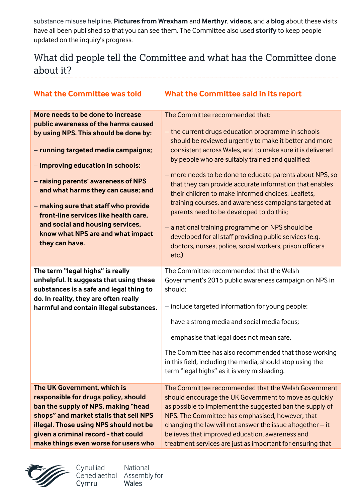[substance misuse helpline.](https://www.flickr.com/photos/nationalassemblyforwales/sets/72157648084293128/) **Pictures from Wrexham** and **[Merthyr](https://www.flickr.com/photos/nationalassemblyforwales/sets/72157648480749321/)**, **[videos](https://www.youtube.com/watch?v=k3DdKzhfrh8&list=PLAiwHW5TKfkGo7P-NpsxYme-XAO_ucUQ_)**, and a **[blog](http://nationalassemblyforwales.wordpress.com/2014/10/14/health-and-social-care-committee-visits-and-focus-group-discussions-for-the-inquiry-into-new-psychoactive-substances/)** about these visits have all been published so that you can see them. The Committee also used **[storify](https://storify.com/assemblywales/inquiry-into-new-psychoactive-substances-legal-hig)** to keep people updated on the inquiry's progress.

## What did people tell the Committee and what has the Committee done about it?

| <b>What the Committee was told</b>      | <b>What the Committee said in its report</b>                 |
|-----------------------------------------|--------------------------------------------------------------|
| More needs to be done to increase       | The Committee recommended that:                              |
| public awareness of the harms caused    |                                                              |
| by using NPS. This should be done by:   | - the current drugs education programme in schools           |
|                                         | should be reviewed urgently to make it better and more       |
| - running targeted media campaigns;     | consistent across Wales, and to make sure it is delivered    |
|                                         | by people who are suitably trained and qualified;            |
| - improving education in schools;       |                                                              |
| - raising parents' awareness of NPS     | - more needs to be done to educate parents about NPS, so     |
| and what harms they can cause; and      | that they can provide accurate information that enables      |
|                                         | their children to make informed choices. Leaflets,           |
| - making sure that staff who provide    | training courses, and awareness campaigns targeted at        |
| front-line services like health care,   | parents need to be developed to do this;                     |
| and social and housing services,        | - a national training programme on NPS should be             |
| know what NPS are and what impact       | developed for all staff providing public services (e.g.      |
| they can have.                          | doctors, nurses, police, social workers, prison officers     |
|                                         | etc.)                                                        |
|                                         |                                                              |
| The term "legal highs" is really        | The Committee recommended that the Welsh                     |
| unhelpful. It suggests that using these | Government's 2015 public awareness campaign on NPS in        |
| substances is a safe and legal thing to | should:                                                      |
| do. In reality, they are often really   |                                                              |
| harmful and contain illegal substances. | - include targeted information for young people;             |
|                                         | - have a strong media and social media focus;                |
|                                         | - emphasise that legal does not mean safe.                   |
|                                         | The Committee has also recommended that those working        |
|                                         | in this field, including the media, should stop using the    |
|                                         | term "legal highs" as it is very misleading.                 |
|                                         |                                                              |
| The UK Government, which is             | The Committee recommended that the Welsh Government          |
| responsible for drugs policy, should    | should encourage the UK Government to move as quickly        |
| ban the supply of NPS, making "head     | as possible to implement the suggested ban the supply of     |
| shops" and market stalls that sell NPS  | NPS. The Committee has emphasised, however, that             |
| illegal. Those using NPS should not be  |                                                              |
|                                         | changing the law will not answer the issue altogether $-$ it |
| given a criminal record - that could    | believes that improved education, awareness and              |



Cynulliad Cenedlaethol Assembly for Cymru

National Wales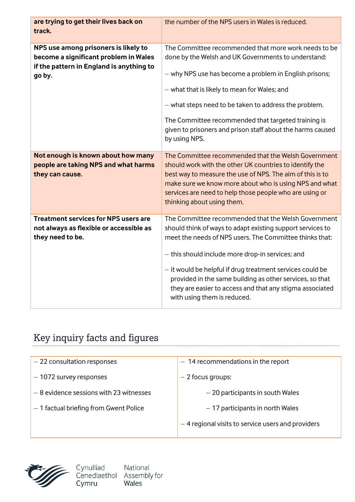| are trying to get their lives back on<br>track.                                                                                     | the number of the NPS users in Wales is reduced.                                                                                                                                                                                                                                                                                                                                                                                                     |
|-------------------------------------------------------------------------------------------------------------------------------------|------------------------------------------------------------------------------------------------------------------------------------------------------------------------------------------------------------------------------------------------------------------------------------------------------------------------------------------------------------------------------------------------------------------------------------------------------|
| NPS use among prisoners is likely to<br>become a significant problem in Wales<br>if the pattern in England is anything to<br>go by. | The Committee recommended that more work needs to be<br>done by the Welsh and UK Governments to understand:<br>- why NPS use has become a problem in English prisons;<br>- what that is likely to mean for Wales; and<br>- what steps need to be taken to address the problem.<br>The Committee recommended that targeted training is<br>given to prisoners and prison staff about the harms caused<br>by using NPS.                                 |
| Not enough is known about how many<br>people are taking NPS and what harms<br>they can cause.                                       | The Committee recommended that the Welsh Government<br>should work with the other UK countries to identify the<br>best way to measure the use of NPS. The aim of this is to<br>make sure we know more about who is using NPS and what<br>services are need to help those people who are using or<br>thinking about using them.                                                                                                                       |
| <b>Treatment services for NPS users are</b><br>not always as flexible or accessible as<br>they need to be.                          | The Committee recommended that the Welsh Government<br>should think of ways to adapt existing support services to<br>meet the needs of NPS users. The Committee thinks that:<br>- this should include more drop-in services; and<br>- it would be helpful if drug treatment services could be<br>provided in the same building as other services, so that<br>they are easier to access and that any stigma associated<br>with using them is reduced. |

# Key inquiry facts and figures

| - 22 consultation responses              | $-14$ recommendations in the report               |
|------------------------------------------|---------------------------------------------------|
|                                          |                                                   |
| $-1072$ survey responses                 | $-2$ focus groups:                                |
|                                          |                                                   |
| $-8$ evidence sessions with 23 witnesses | - 20 participants in south Wales                  |
|                                          |                                                   |
| - 1 factual briefing from Gwent Police   | - 17 participants in north Wales                  |
|                                          |                                                   |
|                                          | -4 regional visits to service users and providers |
|                                          |                                                   |



Cynulliad National<br>Cenedlaethol Assembly for<br>Cymru Wales